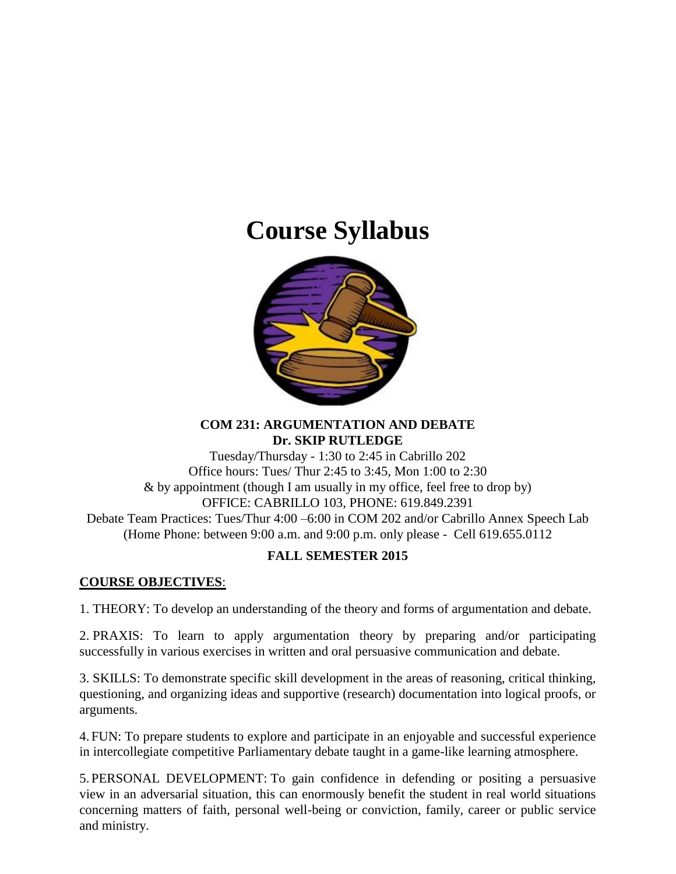# **Course Syllabus**



#### **COM 231: ARGUMENTATION AND DEBATE Dr. SKIP RUTLEDGE**

Tuesday/Thursday - 1:30 to 2:45 in Cabrillo 202 Office hours: Tues/ Thur 2:45 to 3:45, Mon 1:00 to 2:30 & by appointment (though I am usually in my office, feel free to drop by) OFFICE: CABRILLO 103, PHONE: 619.849.2391 Debate Team Practices: Tues/Thur 4:00 –6:00 in COM 202 and/or Cabrillo Annex Speech Lab (Home Phone: between 9:00 a.m. and 9:00 p.m. only please - Cell 619.655.0112

## **FALL SEMESTER 2015**

### **COURSE OBJECTIVES**:

1. THEORY: To develop an understanding of the theory and forms of argumentation and debate.

2. PRAXIS: To learn to apply argumentation theory by preparing and/or participating successfully in various exercises in written and oral persuasive communication and debate.

3. SKILLS: To demonstrate specific skill development in the areas of reasoning, critical thinking, questioning, and organizing ideas and supportive (research) documentation into logical proofs, or arguments.

4. FUN: To prepare students to explore and participate in an enjoyable and successful experience in intercollegiate competitive Parliamentary debate taught in a game-like learning atmosphere.

5. PERSONAL DEVELOPMENT: To gain confidence in defending or positing a persuasive view in an adversarial situation, this can enormously benefit the student in real world situations concerning matters of faith, personal well-being or conviction, family, career or public service and ministry.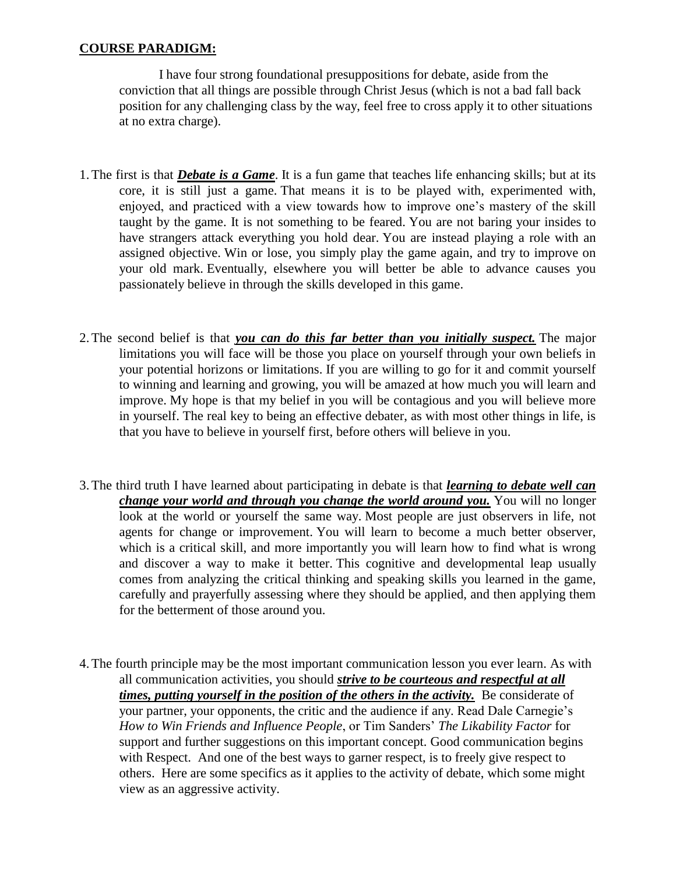#### **COURSE PARADIGM:**

I have four strong foundational presuppositions for debate, aside from the conviction that all things are possible through Christ Jesus (which is not a bad fall back position for any challenging class by the way, feel free to cross apply it to other situations at no extra charge).

- 1.The first is that *Debate is a Game*. It is a fun game that teaches life enhancing skills; but at its core, it is still just a game. That means it is to be played with, experimented with, enjoyed, and practiced with a view towards how to improve one's mastery of the skill taught by the game. It is not something to be feared. You are not baring your insides to have strangers attack everything you hold dear. You are instead playing a role with an assigned objective. Win or lose, you simply play the game again, and try to improve on your old mark. Eventually, elsewhere you will better be able to advance causes you passionately believe in through the skills developed in this game.
- 2.The second belief is that *you can do this far better than you initially suspect.* The major limitations you will face will be those you place on yourself through your own beliefs in your potential horizons or limitations. If you are willing to go for it and commit yourself to winning and learning and growing, you will be amazed at how much you will learn and improve. My hope is that my belief in you will be contagious and you will believe more in yourself. The real key to being an effective debater, as with most other things in life, is that you have to believe in yourself first, before others will believe in you.
- 3.The third truth I have learned about participating in debate is that *learning to debate well can change your world and through you change the world around you.* You will no longer look at the world or yourself the same way. Most people are just observers in life, not agents for change or improvement. You will learn to become a much better observer, which is a critical skill, and more importantly you will learn how to find what is wrong and discover a way to make it better. This cognitive and developmental leap usually comes from analyzing the critical thinking and speaking skills you learned in the game, carefully and prayerfully assessing where they should be applied, and then applying them for the betterment of those around you.
- 4.The fourth principle may be the most important communication lesson you ever learn. As with all communication activities, you should *strive to be courteous and respectful at all times, putting yourself in the position of the others in the activity.* Be considerate of your partner, your opponents, the critic and the audience if any. Read Dale Carnegie's *How to Win Friends and Influence People*, or Tim Sanders' *The Likability Factor* for support and further suggestions on this important concept. Good communication begins with Respect. And one of the best ways to garner respect, is to freely give respect to others. Here are some specifics as it applies to the activity of debate, which some might view as an aggressive activity.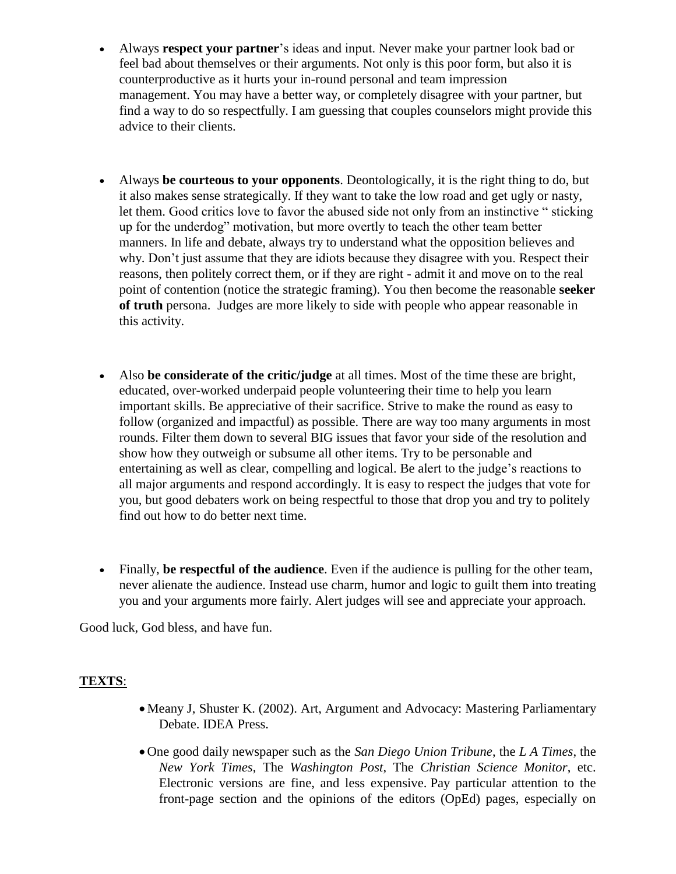- Always **respect your partner**'s ideas and input. Never make your partner look bad or feel bad about themselves or their arguments. Not only is this poor form, but also it is counterproductive as it hurts your in-round personal and team impression management. You may have a better way, or completely disagree with your partner, but find a way to do so respectfully. I am guessing that couples counselors might provide this advice to their clients.
- Always **be courteous to your opponents**. Deontologically, it is the right thing to do, but it also makes sense strategically. If they want to take the low road and get ugly or nasty, let them. Good critics love to favor the abused side not only from an instinctive " sticking up for the underdog" motivation, but more overtly to teach the other team better manners. In life and debate, always try to understand what the opposition believes and why. Don't just assume that they are idiots because they disagree with you. Respect their reasons, then politely correct them, or if they are right - admit it and move on to the real point of contention (notice the strategic framing). You then become the reasonable **seeker of truth** persona. Judges are more likely to side with people who appear reasonable in this activity.
- Also **be considerate of the critic/judge** at all times. Most of the time these are bright, educated, over-worked underpaid people volunteering their time to help you learn important skills. Be appreciative of their sacrifice. Strive to make the round as easy to follow (organized and impactful) as possible. There are way too many arguments in most rounds. Filter them down to several BIG issues that favor your side of the resolution and show how they outweigh or subsume all other items. Try to be personable and entertaining as well as clear, compelling and logical. Be alert to the judge's reactions to all major arguments and respond accordingly. It is easy to respect the judges that vote for you, but good debaters work on being respectful to those that drop you and try to politely find out how to do better next time.
- Finally, **be respectful of the audience**. Even if the audience is pulling for the other team, never alienate the audience. Instead use charm, humor and logic to guilt them into treating you and your arguments more fairly. Alert judges will see and appreciate your approach.

Good luck, God bless, and have fun.

#### **TEXTS**:

- Meany J, Shuster K. (2002). Art, Argument and Advocacy: Mastering Parliamentary Debate. IDEA Press.
- One good daily newspaper such as the *San Diego Union Tribune*, the *L A Times*, the *New York Times*, The *Washington Post*, The *Christian Science Monitor*, etc. Electronic versions are fine, and less expensive. Pay particular attention to the front-page section and the opinions of the editors (OpEd) pages, especially on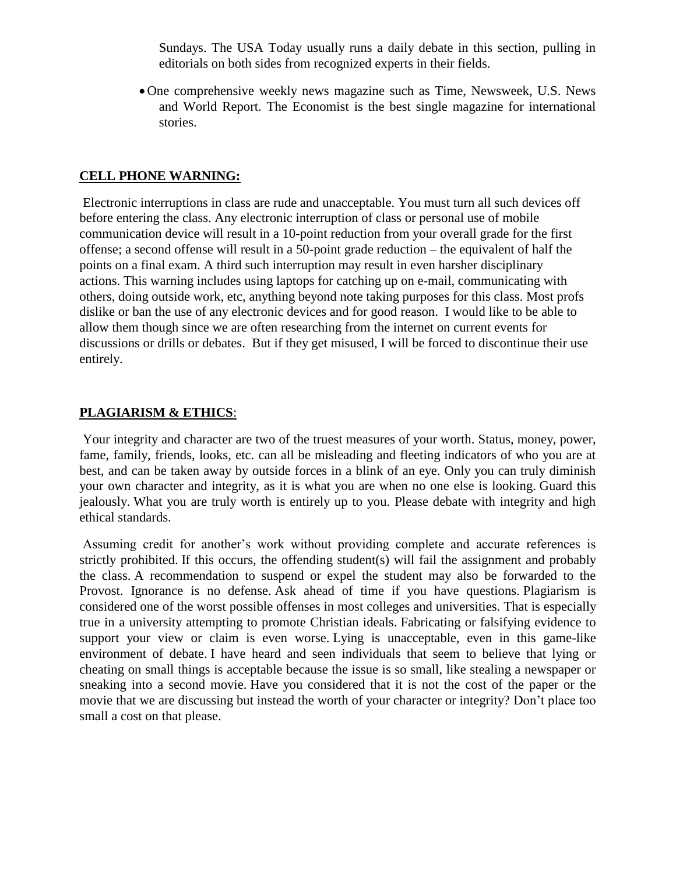Sundays. The USA Today usually runs a daily debate in this section, pulling in editorials on both sides from recognized experts in their fields.

 One comprehensive weekly news magazine such as Time, Newsweek, U.S. News and World Report. The Economist is the best single magazine for international stories.

#### **CELL PHONE WARNING:**

Electronic interruptions in class are rude and unacceptable. You must turn all such devices off before entering the class. Any electronic interruption of class or personal use of mobile communication device will result in a 10-point reduction from your overall grade for the first offense; a second offense will result in a 50-point grade reduction – the equivalent of half the points on a final exam. A third such interruption may result in even harsher disciplinary actions. This warning includes using laptops for catching up on e-mail, communicating with others, doing outside work, etc, anything beyond note taking purposes for this class. Most profs dislike or ban the use of any electronic devices and for good reason. I would like to be able to allow them though since we are often researching from the internet on current events for discussions or drills or debates. But if they get misused, I will be forced to discontinue their use entirely.

#### **PLAGIARISM & ETHICS**:

Your integrity and character are two of the truest measures of your worth. Status, money, power, fame, family, friends, looks, etc. can all be misleading and fleeting indicators of who you are at best, and can be taken away by outside forces in a blink of an eye. Only you can truly diminish your own character and integrity, as it is what you are when no one else is looking. Guard this jealously. What you are truly worth is entirely up to you. Please debate with integrity and high ethical standards.

Assuming credit for another's work without providing complete and accurate references is strictly prohibited. If this occurs, the offending student(s) will fail the assignment and probably the class. A recommendation to suspend or expel the student may also be forwarded to the Provost. Ignorance is no defense. Ask ahead of time if you have questions. Plagiarism is considered one of the worst possible offenses in most colleges and universities. That is especially true in a university attempting to promote Christian ideals. Fabricating or falsifying evidence to support your view or claim is even worse. Lying is unacceptable, even in this game-like environment of debate. I have heard and seen individuals that seem to believe that lying or cheating on small things is acceptable because the issue is so small, like stealing a newspaper or sneaking into a second movie. Have you considered that it is not the cost of the paper or the movie that we are discussing but instead the worth of your character or integrity? Don't place too small a cost on that please.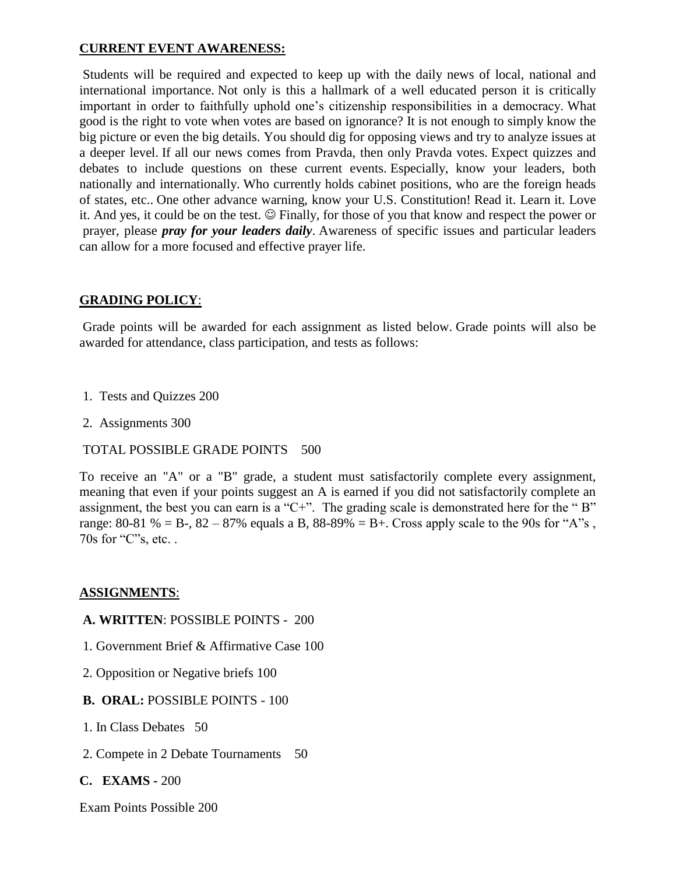#### **CURRENT EVENT AWARENESS:**

Students will be required and expected to keep up with the daily news of local, national and international importance. Not only is this a hallmark of a well educated person it is critically important in order to faithfully uphold one's citizenship responsibilities in a democracy. What good is the right to vote when votes are based on ignorance? It is not enough to simply know the big picture or even the big details. You should dig for opposing views and try to analyze issues at a deeper level. If all our news comes from Pravda, then only Pravda votes. Expect quizzes and debates to include questions on these current events. Especially, know your leaders, both nationally and internationally. Who currently holds cabinet positions, who are the foreign heads of states, etc.. One other advance warning, know your U.S. Constitution! Read it. Learn it. Love it. And yes, it could be on the test.  $\odot$  Finally, for those of you that know and respect the power or prayer, please *pray for your leaders daily*. Awareness of specific issues and particular leaders can allow for a more focused and effective prayer life.

#### **GRADING POLICY**:

Grade points will be awarded for each assignment as listed below. Grade points will also be awarded for attendance, class participation, and tests as follows:

- 1. Tests and Quizzes 200
- 2. Assignments 300

#### TOTAL POSSIBLE GRADE POINTS 500

To receive an "A" or a "B" grade, a student must satisfactorily complete every assignment, meaning that even if your points suggest an A is earned if you did not satisfactorily complete an assignment, the best you can earn is a "C+". The grading scale is demonstrated here for the "B" range: 80-81 % = B-, 82 – 87% equals a B, 88-89% = B+. Cross apply scale to the 90s for "A"s, 70s for "C"s, etc. .

#### **ASSIGNMENTS**:

#### **A. WRITTEN**: POSSIBLE POINTS - 200

- 1. Government Brief & Affirmative Case 100
- 2. Opposition or Negative briefs 100

#### **B. ORAL:** POSSIBLE POINTS - 100

- 1. In Class Debates 50
- 2. Compete in 2 Debate Tournaments 50

#### **C. EXAMS -** 200

Exam Points Possible 200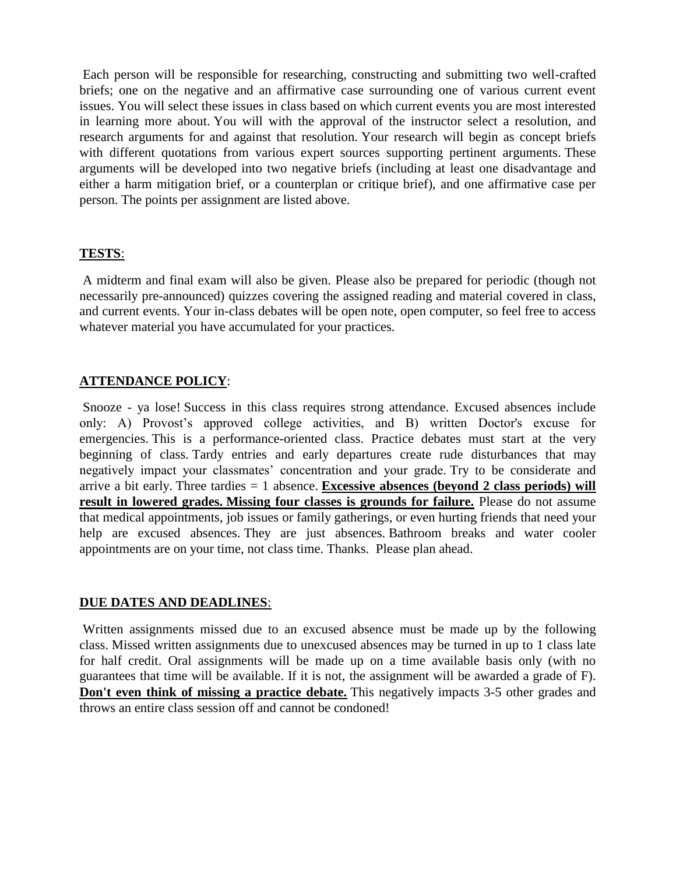Each person will be responsible for researching, constructing and submitting two well-crafted briefs; one on the negative and an affirmative case surrounding one of various current event issues. You will select these issues in class based on which current events you are most interested in learning more about. You will with the approval of the instructor select a resolution, and research arguments for and against that resolution. Your research will begin as concept briefs with different quotations from various expert sources supporting pertinent arguments. These arguments will be developed into two negative briefs (including at least one disadvantage and either a harm mitigation brief, or a counterplan or critique brief), and one affirmative case per person. The points per assignment are listed above.

#### **TESTS**:

A midterm and final exam will also be given. Please also be prepared for periodic (though not necessarily pre-announced) quizzes covering the assigned reading and material covered in class, and current events. Your in-class debates will be open note, open computer, so feel free to access whatever material you have accumulated for your practices.

#### **ATTENDANCE POLICY**:

Snooze - ya lose! Success in this class requires strong attendance. Excused absences include only: A) Provost's approved college activities, and B) written Doctor's excuse for emergencies. This is a performance-oriented class. Practice debates must start at the very beginning of class. Tardy entries and early departures create rude disturbances that may negatively impact your classmates' concentration and your grade. Try to be considerate and arrive a bit early. Three tardies = 1 absence. **Excessive absences (beyond 2 class periods) will result in lowered grades. Missing four classes is grounds for failure.** Please do not assume that medical appointments, job issues or family gatherings, or even hurting friends that need your help are excused absences. They are just absences. Bathroom breaks and water cooler appointments are on your time, not class time. Thanks. Please plan ahead.

#### **DUE DATES AND DEADLINES**:

Written assignments missed due to an excused absence must be made up by the following class. Missed written assignments due to unexcused absences may be turned in up to 1 class late for half credit. Oral assignments will be made up on a time available basis only (with no guarantees that time will be available. If it is not, the assignment will be awarded a grade of F). **Don't even think of missing a practice debate.** This negatively impacts 3-5 other grades and throws an entire class session off and cannot be condoned!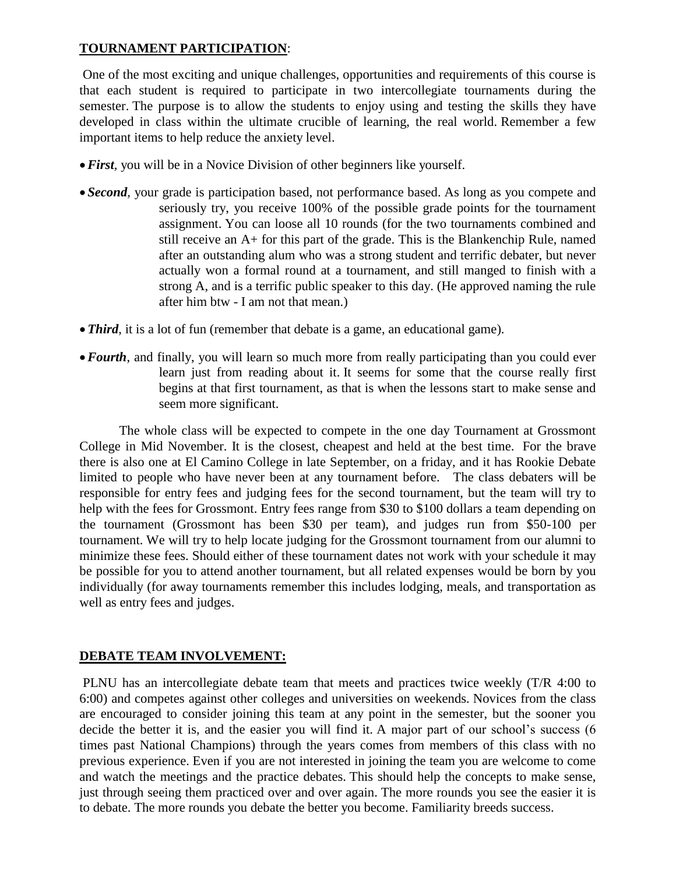#### **TOURNAMENT PARTICIPATION**:

One of the most exciting and unique challenges, opportunities and requirements of this course is that each student is required to participate in two intercollegiate tournaments during the semester. The purpose is to allow the students to enjoy using and testing the skills they have developed in class within the ultimate crucible of learning, the real world. Remember a few important items to help reduce the anxiety level.

- *First,* you will be in a Novice Division of other beginners like yourself.
- *Second,* your grade is participation based, not performance based. As long as you compete and seriously try, you receive 100% of the possible grade points for the tournament assignment. You can loose all 10 rounds (for the two tournaments combined and still receive an A+ for this part of the grade. This is the Blankenchip Rule, named after an outstanding alum who was a strong student and terrific debater, but never actually won a formal round at a tournament, and still manged to finish with a strong A, and is a terrific public speaker to this day. (He approved naming the rule after him btw - I am not that mean.)
- **Third**, it is a lot of fun (remember that debate is a game, an educational game).
- *Fourth*, and finally, you will learn so much more from really participating than you could ever learn just from reading about it. It seems for some that the course really first begins at that first tournament, as that is when the lessons start to make sense and seem more significant.

The whole class will be expected to compete in the one day Tournament at Grossmont College in Mid November. It is the closest, cheapest and held at the best time. For the brave there is also one at El Camino College in late September, on a friday, and it has Rookie Debate limited to people who have never been at any tournament before. The class debaters will be responsible for entry fees and judging fees for the second tournament, but the team will try to help with the fees for Grossmont. Entry fees range from \$30 to \$100 dollars a team depending on the tournament (Grossmont has been \$30 per team), and judges run from \$50-100 per tournament. We will try to help locate judging for the Grossmont tournament from our alumni to minimize these fees. Should either of these tournament dates not work with your schedule it may be possible for you to attend another tournament, but all related expenses would be born by you individually (for away tournaments remember this includes lodging, meals, and transportation as well as entry fees and judges.

#### **DEBATE TEAM INVOLVEMENT:**

PLNU has an intercollegiate debate team that meets and practices twice weekly (T/R 4:00 to 6:00) and competes against other colleges and universities on weekends. Novices from the class are encouraged to consider joining this team at any point in the semester, but the sooner you decide the better it is, and the easier you will find it. A major part of our school's success (6 times past National Champions) through the years comes from members of this class with no previous experience. Even if you are not interested in joining the team you are welcome to come and watch the meetings and the practice debates. This should help the concepts to make sense, just through seeing them practiced over and over again. The more rounds you see the easier it is to debate. The more rounds you debate the better you become. Familiarity breeds success.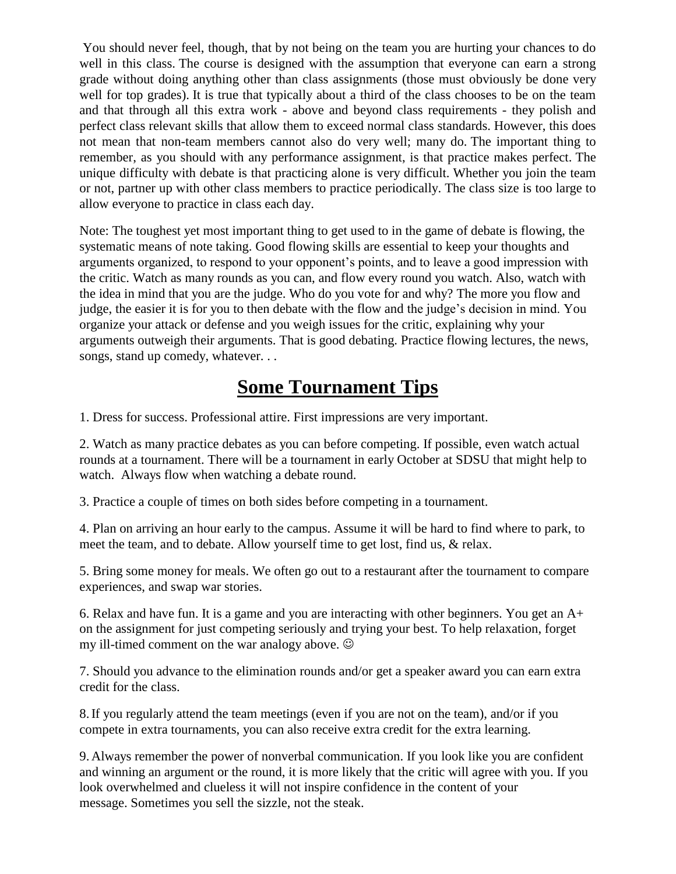You should never feel, though, that by not being on the team you are hurting your chances to do well in this class. The course is designed with the assumption that everyone can earn a strong grade without doing anything other than class assignments (those must obviously be done very well for top grades). It is true that typically about a third of the class chooses to be on the team and that through all this extra work - above and beyond class requirements - they polish and perfect class relevant skills that allow them to exceed normal class standards. However, this does not mean that non-team members cannot also do very well; many do. The important thing to remember, as you should with any performance assignment, is that practice makes perfect. The unique difficulty with debate is that practicing alone is very difficult. Whether you join the team or not, partner up with other class members to practice periodically. The class size is too large to allow everyone to practice in class each day.

Note: The toughest yet most important thing to get used to in the game of debate is flowing, the systematic means of note taking. Good flowing skills are essential to keep your thoughts and arguments organized, to respond to your opponent's points, and to leave a good impression with the critic. Watch as many rounds as you can, and flow every round you watch. Also, watch with the idea in mind that you are the judge. Who do you vote for and why? The more you flow and judge, the easier it is for you to then debate with the flow and the judge's decision in mind. You organize your attack or defense and you weigh issues for the critic, explaining why your arguments outweigh their arguments. That is good debating. Practice flowing lectures, the news, songs, stand up comedy, whatever. . .

# **Some Tournament Tips**

1. Dress for success. Professional attire. First impressions are very important.

2. Watch as many practice debates as you can before competing. If possible, even watch actual rounds at a tournament. There will be a tournament in early October at SDSU that might help to watch. Always flow when watching a debate round.

3. Practice a couple of times on both sides before competing in a tournament.

4. Plan on arriving an hour early to the campus. Assume it will be hard to find where to park, to meet the team, and to debate. Allow yourself time to get lost, find us, & relax.

5. Bring some money for meals. We often go out to a restaurant after the tournament to compare experiences, and swap war stories.

6. Relax and have fun. It is a game and you are interacting with other beginners. You get an A+ on the assignment for just competing seriously and trying your best. To help relaxation, forget my ill-timed comment on the war analogy above.

7. Should you advance to the elimination rounds and/or get a speaker award you can earn extra credit for the class.

8.If you regularly attend the team meetings (even if you are not on the team), and/or if you compete in extra tournaments, you can also receive extra credit for the extra learning.

9. Always remember the power of nonverbal communication. If you look like you are confident and winning an argument or the round, it is more likely that the critic will agree with you. If you look overwhelmed and clueless it will not inspire confidence in the content of your message. Sometimes you sell the sizzle, not the steak.